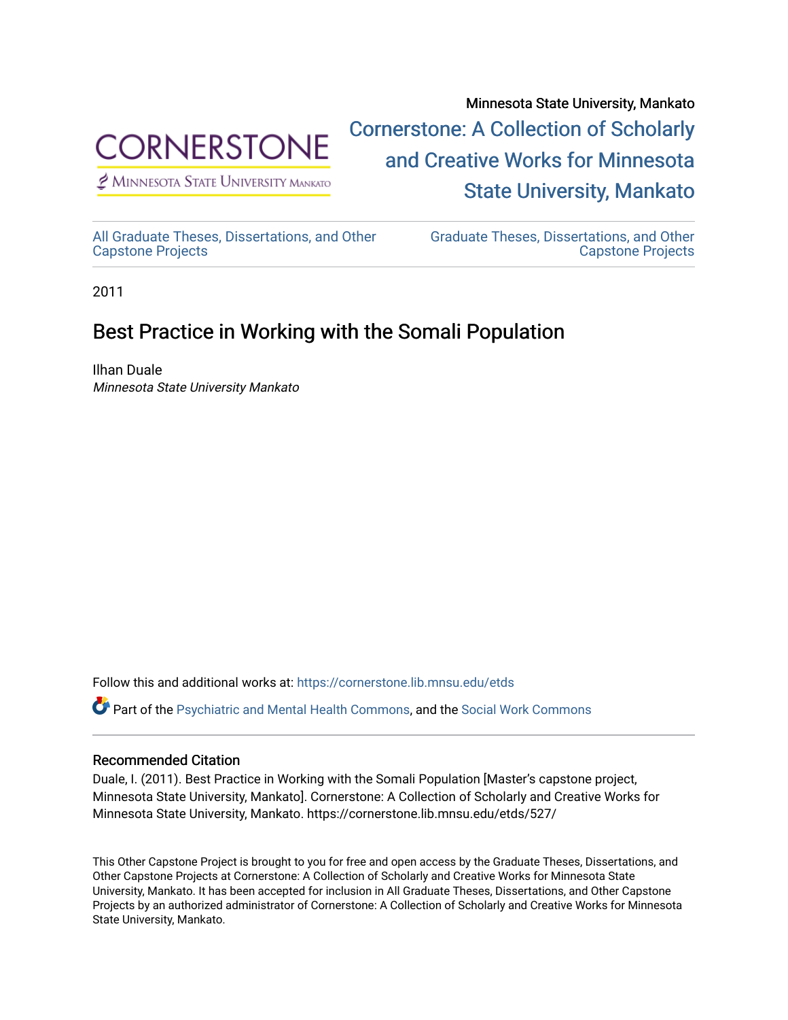

 $<sup>2</sup>$  Minnesota State University Mankato</sup>

Minnesota State University, Mankato [Cornerstone: A Collection of Scholarly](https://cornerstone.lib.mnsu.edu/)  [and Creative Works for Minnesota](https://cornerstone.lib.mnsu.edu/)  [State University, Mankato](https://cornerstone.lib.mnsu.edu/) 

[All Graduate Theses, Dissertations, and Other](https://cornerstone.lib.mnsu.edu/etds)  [Capstone Projects](https://cornerstone.lib.mnsu.edu/etds) 

[Graduate Theses, Dissertations, and Other](https://cornerstone.lib.mnsu.edu/theses_dissertations-capstone)  [Capstone Projects](https://cornerstone.lib.mnsu.edu/theses_dissertations-capstone) 

2011

### Best Practice in Working with the Somali Population

Ilhan Duale Minnesota State University Mankato

Follow this and additional works at: [https://cornerstone.lib.mnsu.edu/etds](https://cornerstone.lib.mnsu.edu/etds?utm_source=cornerstone.lib.mnsu.edu%2Fetds%2F527&utm_medium=PDF&utm_campaign=PDFCoverPages) 

Part of the [Psychiatric and Mental Health Commons,](http://network.bepress.com/hgg/discipline/711?utm_source=cornerstone.lib.mnsu.edu%2Fetds%2F527&utm_medium=PDF&utm_campaign=PDFCoverPages) and the [Social Work Commons](http://network.bepress.com/hgg/discipline/713?utm_source=cornerstone.lib.mnsu.edu%2Fetds%2F527&utm_medium=PDF&utm_campaign=PDFCoverPages) 

### Recommended Citation

Duale, I. (2011). Best Practice in Working with the Somali Population [Master's capstone project, Minnesota State University, Mankato]. Cornerstone: A Collection of Scholarly and Creative Works for Minnesota State University, Mankato. https://cornerstone.lib.mnsu.edu/etds/527/

This Other Capstone Project is brought to you for free and open access by the Graduate Theses, Dissertations, and Other Capstone Projects at Cornerstone: A Collection of Scholarly and Creative Works for Minnesota State University, Mankato. It has been accepted for inclusion in All Graduate Theses, Dissertations, and Other Capstone Projects by an authorized administrator of Cornerstone: A Collection of Scholarly and Creative Works for Minnesota State University, Mankato.